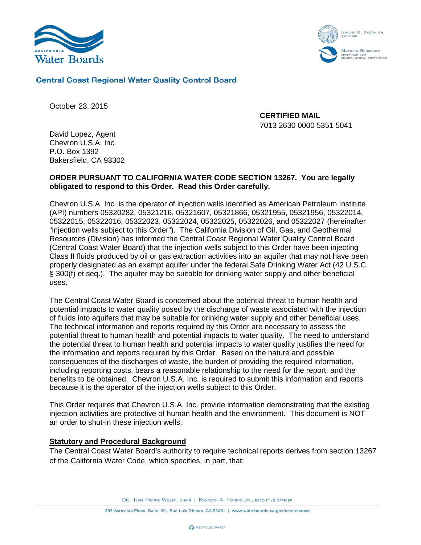



## **Central Coast Regional Water Quality Control Board**

October 23, 2015

**CERTIFIED MAIL** 7013 2630 0000 5351 5041

David Lopez, Agent Chevron U.S.A. Inc. P.O. Box 1392 Bakersfield, CA 93302

# **ORDER PURSUANT TO CALIFORNIA WATER CODE SECTION 13267. You are legally obligated to respond to this Order. Read this Order carefully.**

Chevron U.S.A. Inc. is the operator of injection wells identified as American Petroleum Institute (API) numbers 05320282, 05321216, 05321607, 05321866, 05321955, 05321956, 05322014, 05322015, 05322016, 05322023, 05322024, 05322025, 05322026, and 05322027 (hereinafter "injection wells subject to this Order"). The California Division of Oil, Gas, and Geothermal Resources (Division) has informed the Central Coast Regional Water Quality Control Board (Central Coast Water Board) that the injection wells subject to this Order have been injecting Class II fluids produced by oil or gas extraction activities into an aquifer that may not have been properly designated as an exempt aquifer under the federal Safe Drinking Water Act (42 U.S.C. § 300(f) et seq.). The aquifer may be suitable for drinking water supply and other beneficial uses.

The Central Coast Water Board is concerned about the potential threat to human health and potential impacts to water quality posed by the discharge of waste associated with the injection of fluids into aquifers that may be suitable for drinking water supply and other beneficial uses. The technical information and reports required by this Order are necessary to assess the potential threat to human health and potential impacts to water quality. The need to understand the potential threat to human health and potential impacts to water quality justifies the need for the information and reports required by this Order. Based on the nature and possible consequences of the discharges of waste, the burden of providing the required information, including reporting costs, bears a reasonable relationship to the need for the report, and the benefits to be obtained. Chevron U.S.A. Inc. is required to submit this information and reports because it is the operator of the injection wells subject to this Order.

This Order requires that Chevron U.S.A. Inc. provide information demonstrating that the existing injection activities are protective of human health and the environment. This document is NOT an order to shut-in these injection wells.

### **Statutory and Procedural Background**

The Central Coast Water Board's authority to require technical reports derives from section 13267 of the California Water Code, which specifies, in part, that:

DR. JEAN-PIERRE WOLFF, CHAIR | KENNETH A. HARRIS JR., EXECUTIVE OFFICER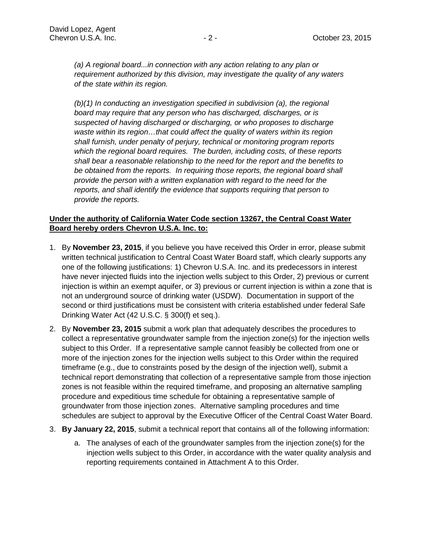*(a) A regional board...in connection with any action relating to any plan or requirement authorized by this division, may investigate the quality of any waters of the state within its region.*

*(b)(1) In conducting an investigation specified in subdivision (a), the regional board may require that any person who has discharged, discharges, or is suspected of having discharged or discharging, or who proposes to discharge waste within its region…that could affect the quality of waters within its region shall furnish, under penalty of perjury, technical or monitoring program reports which the regional board requires. The burden, including costs, of these reports shall bear a reasonable relationship to the need for the report and the benefits to be obtained from the reports. In requiring those reports, the regional board shall provide the person with a written explanation with regard to the need for the reports, and shall identify the evidence that supports requiring that person to provide the reports.*

# **Under the authority of California Water Code section 13267, the Central Coast Water Board hereby orders Chevron U.S.A. Inc. to:**

- 1. By **November 23, 2015**, if you believe you have received this Order in error, please submit written technical justification to Central Coast Water Board staff, which clearly supports any one of the following justifications: 1) Chevron U.S.A. Inc. and its predecessors in interest have never injected fluids into the injection wells subject to this Order, 2) previous or current injection is within an exempt aquifer, or 3) previous or current injection is within a zone that is not an underground source of drinking water (USDW). Documentation in support of the second or third justifications must be consistent with criteria established under federal Safe Drinking Water Act (42 U.S.C. § 300(f) et seq.).
- 2. By **November 23, 2015** submit a work plan that adequately describes the procedures to collect a representative groundwater sample from the injection zone(s) for the injection wells subject to this Order. If a representative sample cannot feasibly be collected from one or more of the injection zones for the injection wells subject to this Order within the required timeframe (e.g., due to constraints posed by the design of the injection well), submit a technical report demonstrating that collection of a representative sample from those injection zones is not feasible within the required timeframe, and proposing an alternative sampling procedure and expeditious time schedule for obtaining a representative sample of groundwater from those injection zones. Alternative sampling procedures and time schedules are subject to approval by the Executive Officer of the Central Coast Water Board.
- 3. **By January 22, 2015**, submit a technical report that contains all of the following information:
	- a. The analyses of each of the groundwater samples from the injection zone(s) for the injection wells subject to this Order, in accordance with the water quality analysis and reporting requirements contained in Attachment A to this Order.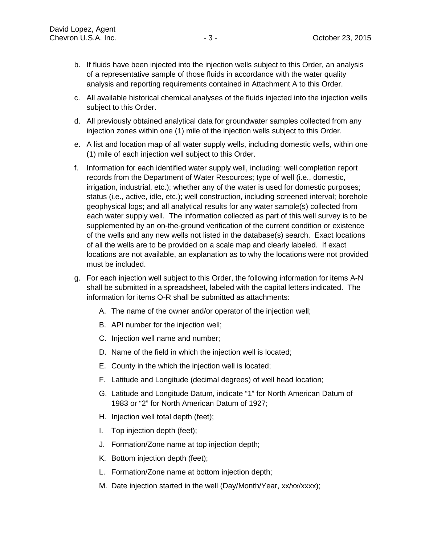- b. If fluids have been injected into the injection wells subject to this Order, an analysis of a representative sample of those fluids in accordance with the water quality analysis and reporting requirements contained in Attachment A to this Order.
- c. All available historical chemical analyses of the fluids injected into the injection wells subject to this Order.
- d. All previously obtained analytical data for groundwater samples collected from any injection zones within one (1) mile of the injection wells subject to this Order.
- e. A list and location map of all water supply wells, including domestic wells, within one (1) mile of each injection well subject to this Order.
- f. Information for each identified water supply well, including: well completion report records from the Department of Water Resources; type of well (i.e., domestic, irrigation, industrial, etc.); whether any of the water is used for domestic purposes; status (i.e., active, idle, etc.); well construction, including screened interval; borehole geophysical logs; and all analytical results for any water sample(s) collected from each water supply well. The information collected as part of this well survey is to be supplemented by an on-the-ground verification of the current condition or existence of the wells and any new wells not listed in the database(s) search. Exact locations of all the wells are to be provided on a scale map and clearly labeled. If exact locations are not available, an explanation as to why the locations were not provided must be included.
- g. For each injection well subject to this Order, the following information for items A-N shall be submitted in a spreadsheet, labeled with the capital letters indicated. The information for items O-R shall be submitted as attachments:
	- A. The name of the owner and/or operator of the injection well;
	- B. API number for the injection well;
	- C. Injection well name and number;
	- D. Name of the field in which the injection well is located;
	- E. County in the which the injection well is located;
	- F. Latitude and Longitude (decimal degrees) of well head location;
	- G. Latitude and Longitude Datum, indicate "1" for North American Datum of 1983 or "2" for North American Datum of 1927;
	- H. Injection well total depth (feet);
	- I. Top injection depth (feet);
	- J. Formation/Zone name at top injection depth;
	- K. Bottom injection depth (feet);
	- L. Formation/Zone name at bottom injection depth;
	- M. Date injection started in the well (Day/Month/Year, xx/xx/xxxx);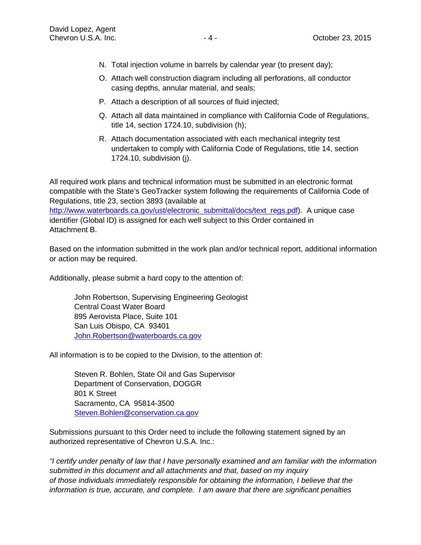- N. Total injection volume in barrels by calendar year (to present day);
- O. Attach well construction diagram including all perforations, all conductor casing depths, annular material, and seals;
- P. Attach a description of all sources of fluid injected;
- Q. Attach all data maintained in compliance with California Code of Regulations, title 14, section 1724.10, subdivision (h);
- R. Attach documentation associated with each mechanical integrity test undertaken to comply with California Code of Regulations, title 14, section 1724.10, subdivision (j).

All required work plans and technical information must be submitted in an electronic format compatible with the State's GeoTracker system following the requirements of California Code of Regulations, title 23, section 3893 (available at [http://www.waterboards.ca.gov/ust/electronic\\_submittal/docs/text\\_regs.pdf\)](http://www.waterboards.ca.gov/ust/electronic_submittal/docs/text_regs.pdf). A unique case identifier (Global ID) is assigned for each well subject to this Order contained in Attachment B.

Based on the information submitted in the work plan and/or technical report, additional information or action may be required.

Additionally, please submit a hard copy to the attention of:

John Robertson, Supervising Engineering Geologist Central Coast Water Board 895 Aerovista Place, Suite 101 San Luis Obispo, CA 93401 John.Robertson@waterboards.ca.gov

All information is to be copied to the Division, to the attention of:

Steven R. Bohlen, State Oil and Gas Supervisor Department of Conservation, DOGGR 801 K Street Sacramento, CA 95814-3500 Steven.Bohlen@conservation.ca.gov

Submissions pursuant to this Order need to include the following statement signed by an authorized representative of Chevron U.S.A. Inc.:

*"I certify under penalty of law that I have personally examined and am familiar with the information submitted in this document and all attachments and that, based on my inquiry of those individuals immediately responsible for obtaining the information, I believe that the information is true, accurate, and complete. I am aware that there are significant penalties*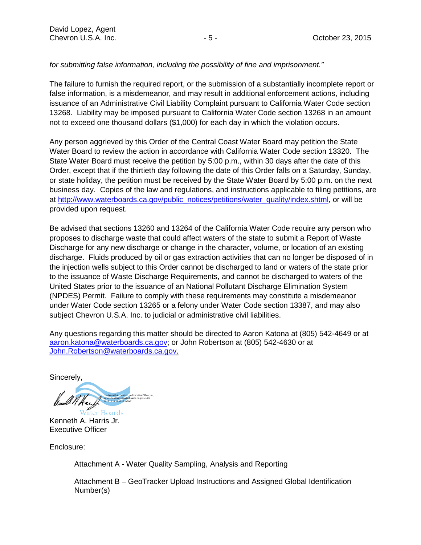# *for submitting false information, including the possibility of fine and imprisonment."*

The failure to furnish the required report, or the submission of a substantially incomplete report or false information, is a misdemeanor, and may result in additional enforcement actions, including issuance of an Administrative Civil Liability Complaint pursuant to California Water Code section 13268. Liability may be imposed pursuant to California Water Code section 13268 in an amount not to exceed one thousand dollars (\$1,000) for each day in which the violation occurs.

Any person aggrieved by this Order of the Central Coast Water Board may petition the State Water Board to review the action in accordance with California Water Code section 13320. The State Water Board must receive the petition by 5:00 p.m., within 30 days after the date of this Order, except that if the thirtieth day following the date of this Order falls on a Saturday, Sunday, or state holiday, the petition must be received by the State Water Board by 5:00 p.m. on the next business day. Copies of the law and regulations, and instructions applicable to filing petitions, are at [http://www.waterboards.ca.gov/public\\_notices/petitions/water\\_quality/index.shtml,](http://www.waterboards.ca.gov/public_notices/petitions/water_quality/index.shtml) or will be provided upon request.

Be advised that sections 13260 and 13264 of the California Water Code require any person who proposes to discharge waste that could affect waters of the state to submit a Report of Waste Discharge for any new discharge or change in the character, volume, or location of an existing discharge. Fluids produced by oil or gas extraction activities that can no longer be disposed of in the injection wells subject to this Order cannot be discharged to land or waters of the state prior to the issuance of Waste Discharge Requirements, and cannot be discharged to waters of the United States prior to the issuance of an National Pollutant Discharge Elimination System (NPDES) Permit. Failure to comply with these requirements may constitute a misdemeanor under Water Code section 13265 or a felony under Water Code section 13387, and may also subject Chevron U.S.A. Inc. to judicial or administrative civil liabilities.

Any questions regarding this matter should be directed to Aaron Katona at (805) 542-4649 or at [aaron.katona@waterboards.ca.gov;](mailto:aaron.katona@waterboards.ca.gov) or John Robertson at (805) 542-4630 or at [John.Robertson@waterboards.ca.gov.](mailto:John.Robertson@waterboards.ca.gov)

**Sincerely** 

cn=Kenneth A. Harris Jr., o=Executive Officer, ou, email=Ken.Harris@waterboards.ca.gov, c=US 2015.10.23 13:32:19 -07'00'

iter Boards Kenneth A. Harris Jr. Executive Officer

Enclosure:

Attachment A - Water Quality Sampling, Analysis and Reporting

Attachment B – GeoTracker Upload Instructions and Assigned Global Identification Number(s)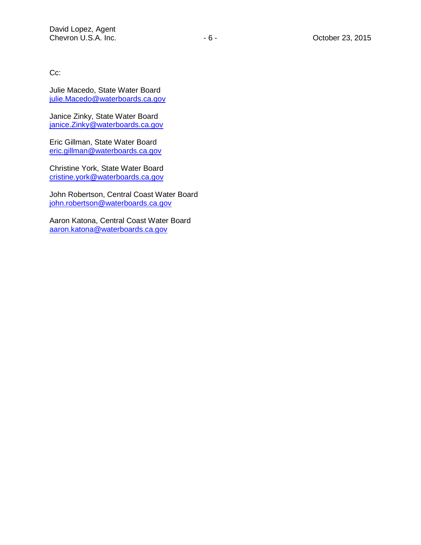Cc:

Julie Macedo, State Water Board [julie.Macedo@waterboards.ca.gov](mailto:julie.Macedo@waterboards.ca.gov)

Janice Zinky, State Water Board [janice.Zinky@waterboards.ca.gov](mailto:janice.Zinky@waterboards.ca.gov)

Eric Gillman, State Water Board [eric.gillman@waterboards.ca.gov](mailto:eric.gillman@waterboards.ca.gov)

Christine York, State Water Board [cristine.york@waterboards.ca.gov](mailto:cristine.york@waterboards.ca.gov)

John Robertson, Central Coast Water Board [john.robertson@waterboards.ca.gov](mailto:john.robertson@waterboards.ca.gov)

Aaron Katona, Central Coast Water Board [aaron.katona@waterboards.ca.gov](mailto:aaron.katona@waterboards.ca.gov)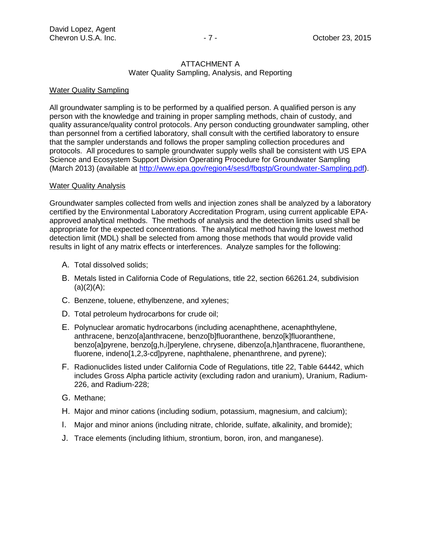#### ATTACHMENT A Water Quality Sampling, Analysis, and Reporting

## Water Quality Sampling

All groundwater sampling is to be performed by a qualified person. A qualified person is any person with the knowledge and training in proper sampling methods, chain of custody, and quality assurance/quality control protocols. Any person conducting groundwater sampling, other than personnel from a certified laboratory, shall consult with the certified laboratory to ensure that the sampler understands and follows the proper sampling collection procedures and protocols. All procedures to sample groundwater supply wells shall be consistent with US EPA Science and Ecosystem Support Division Operating Procedure for Groundwater Sampling (March 2013) (available at [http://www.epa.gov/region4/sesd/fbqstp/Groundwater-Sampling.pdf\)](http://www.epa.gov/region4/sesd/fbqstp/Groundwater-Sampling.pdf).

### **Water Quality Analysis**

Groundwater samples collected from wells and injection zones shall be analyzed by a laboratory certified by the Environmental Laboratory Accreditation Program, using current applicable EPAapproved analytical methods. The methods of analysis and the detection limits used shall be appropriate for the expected concentrations. The analytical method having the lowest method detection limit (MDL) shall be selected from among those methods that would provide valid results in light of any matrix effects or interferences. Analyze samples for the following:

- A. Total dissolved solids;
- B. Metals listed in California Code of Regulations, title 22, section 66261.24, subdivision  $(a)(2)(A);$
- C. Benzene, toluene, ethylbenzene, and xylenes;
- D. Total petroleum hydrocarbons for crude oil;
- E. Polynuclear aromatic hydrocarbons (including acenaphthene, acenaphthylene, anthracene, benzo[a]anthracene, benzo[b]fluoranthene, benzo[k]fluoranthene, benzo[a]pyrene, benzo[g,h,i]perylene, chrysene, dibenzo[a,h]anthracene, fluoranthene, fluorene, indeno[1,2,3-cd]pyrene, naphthalene, phenanthrene, and pyrene);
- F. Radionuclides listed under California Code of Regulations, title 22, Table 64442, which includes Gross Alpha particle activity (excluding radon and uranium), Uranium, Radium-226, and Radium-228;
- G. Methane;
- H. Major and minor cations (including sodium, potassium, magnesium, and calcium);
- I. Major and minor anions (including nitrate, chloride, sulfate, alkalinity, and bromide);
- J. Trace elements (including lithium, strontium, boron, iron, and manganese).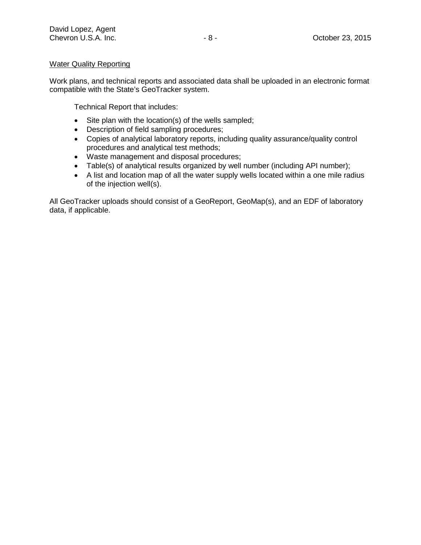# Water Quality Reporting

Work plans, and technical reports and associated data shall be uploaded in an electronic format compatible with the State's GeoTracker system.

Technical Report that includes:

- Site plan with the location(s) of the wells sampled;
- Description of field sampling procedures;
- Copies of analytical laboratory reports, including quality assurance/quality control procedures and analytical test methods;
- Waste management and disposal procedures;
- Table(s) of analytical results organized by well number (including API number);
- A list and location map of all the water supply wells located within a one mile radius of the injection well(s).

All GeoTracker uploads should consist of a GeoReport, GeoMap(s), and an EDF of laboratory data, if applicable.